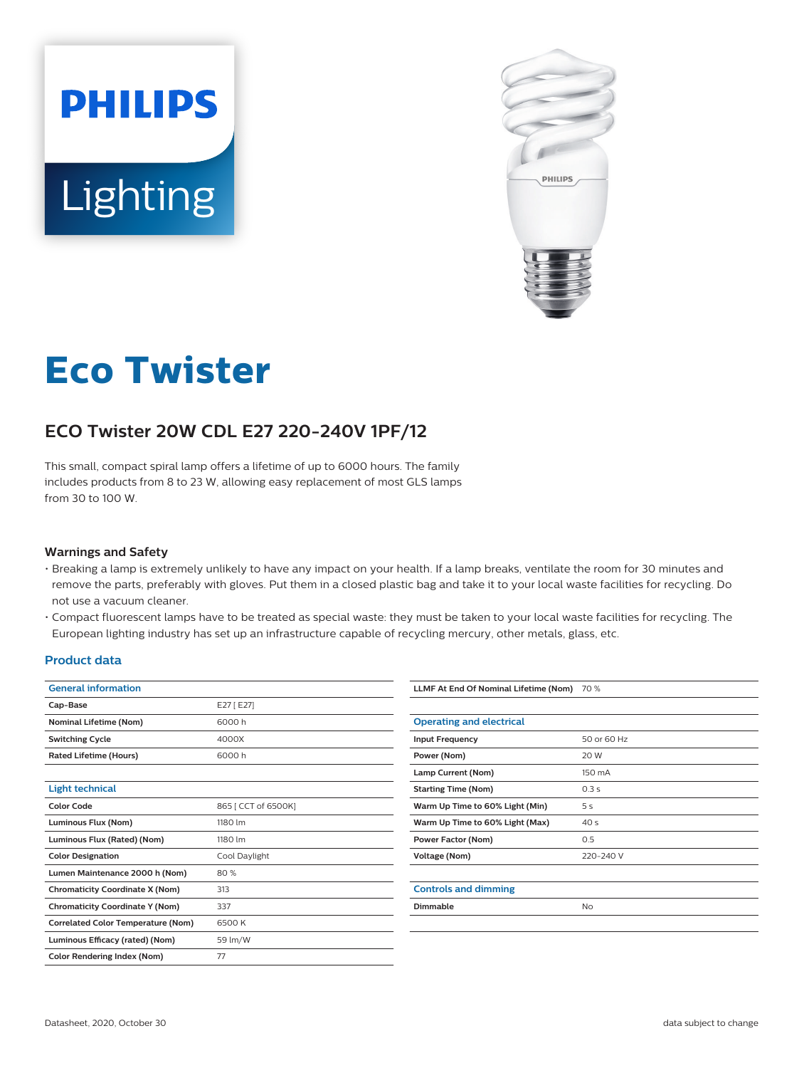



# **Eco Twister**

## **ECO Twister 20W CDL E27 220-240V 1PF/12**

This small, compact spiral lamp offers a lifetime of up to 6000 hours. The family includes products from 8 to 23 W, allowing easy replacement of most GLS lamps from 30 to 100 W.

#### **Warnings and Safety**

- Breaking a lamp is extremely unlikely to have any impact on your health. If a lamp breaks, ventilate the room for 30 minutes and remove the parts, preferably with gloves. Put them in a closed plastic bag and take it to your local waste facilities for recycling. Do not use a vacuum cleaner.
- Compact fluorescent lamps have to be treated as special waste: they must be taken to your local waste facilities for recycling. The European lighting industry has set up an infrastructure capable of recycling mercury, other metals, glass, etc.

#### **Product data**

| <b>General information</b>                |                     |  |  |
|-------------------------------------------|---------------------|--|--|
| Cap-Base                                  | E27 [ E27]          |  |  |
| <b>Nominal Lifetime (Nom)</b>             | 6000 h              |  |  |
| <b>Switching Cycle</b>                    | 4000X               |  |  |
| <b>Rated Lifetime (Hours)</b>             | 6000 h              |  |  |
|                                           |                     |  |  |
| <b>Light technical</b>                    |                     |  |  |
| <b>Color Code</b>                         | 865   CCT of 6500K] |  |  |
| Luminous Flux (Nom)                       | 1180 lm             |  |  |
| Luminous Flux (Rated) (Nom)               | 1180 lm             |  |  |
| <b>Color Designation</b>                  | Cool Daylight       |  |  |
| Lumen Maintenance 2000 h (Nom)            | 80%                 |  |  |
| <b>Chromaticity Coordinate X (Nom)</b>    | 313                 |  |  |
| <b>Chromaticity Coordinate Y (Nom)</b>    | 337                 |  |  |
| <b>Correlated Color Temperature (Nom)</b> | 6500 K              |  |  |
| Luminous Efficacy (rated) (Nom)           | 59 lm/W             |  |  |
| <b>Color Rendering Index (Nom)</b>        | 77                  |  |  |

| LLMF At End Of Nominal Lifetime (Nom) | 70 %            |
|---------------------------------------|-----------------|
|                                       |                 |
| <b>Operating and electrical</b>       |                 |
| <b>Input Frequency</b>                | 50 or 60 Hz     |
| Power (Nom)                           | 20 W            |
| Lamp Current (Nom)                    | 150 mA          |
| <b>Starting Time (Nom)</b>            | 0.3s            |
| Warm Up Time to 60% Light (Min)       | 5 s             |
| Warm Up Time to 60% Light (Max)       | 40 <sub>s</sub> |
| <b>Power Factor (Nom)</b>             | 0.5             |
| Voltage (Nom)                         | 220-240 V       |
|                                       |                 |
| <b>Controls and dimming</b>           |                 |
| Dimmable                              | <b>No</b>       |
|                                       |                 |